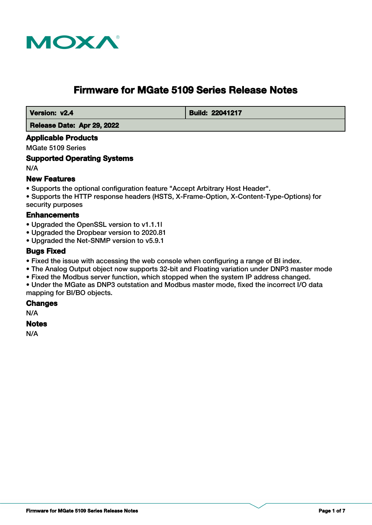

# **Firmware for MGate 5109 Series Release Notes**

**Version: v2.4 Build: 22041217** 

 **Release Date: Apr 29, 2022**

### **Applicable Products**

MGate 5109 Series

### **Supported Operating Systems**

N/A

### **New Features**

• Supports the optional configuration feature "Accept Arbitrary Host Header".

• Supports the HTTP response headers (HSTS, X-Frame-Option, X-Content-Type-Options) for security purposes

### **Enhancements**

- Upgraded the OpenSSL version to v1.1.1l
- Upgraded the Dropbear version to 2020.81
- Upgraded the Net-SNMP version to v5.9.1

#### **Bugs Fixed**

- Fixed the issue with accessing the web console when configuring a range of BI index.
- The Analog Output object now supports 32-bit and Floating variation under DNP3 master mode
- Fixed the Modbus server function, which stopped when the system IP address changed.

• Under the MGate as DNP3 outstation and Modbus master mode, fixed the incorrect I/O data mapping for BI/BO objects.

#### **Changes**

N/A

### **Notes**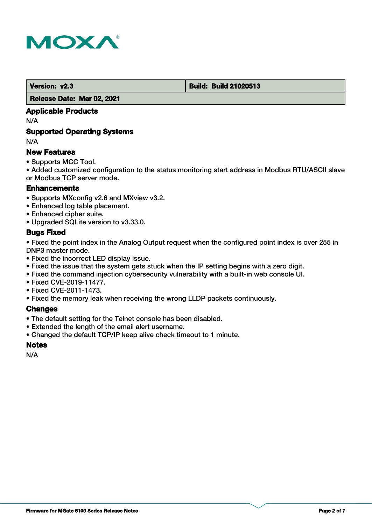

 **Version: v2.3 Build: Build 21020513**

 **Release Date: Mar 02, 2021**

### **Applicable Products**

N/A

### **Supported Operating Systems**

N/A

### **New Features**

• Supports MCC Tool.

• Added customized configuration to the status monitoring start address in Modbus RTU/ASCII slave or Modbus TCP server mode.

#### **Enhancements**

- Supports MXconfig v2.6 and MXview v3.2.
- Enhanced log table placement.
- Enhanced cipher suite.
- Upgraded SQLite version to v3.33.0.

### **Bugs Fixed**

• Fixed the point index in the Analog Output request when the configured point index is over 255 in DNP3 master mode.

- Fixed the incorrect LED display issue.
- Fixed the issue that the system gets stuck when the IP setting begins with a zero digit.
- Fixed the command injection cybersecurity vulnerability with a built-in web console UI.
- Fixed CVE-2019-11477.
- Fixed CVE-2011-1473.
- Fixed the memory leak when receiving the wrong LLDP packets continuously.

### **Changes**

- The default setting for the Telnet console has been disabled.
- Extended the length of the email alert username.
- Changed the default TCP/IP keep alive check timeout to 1 minute.

### **Notes**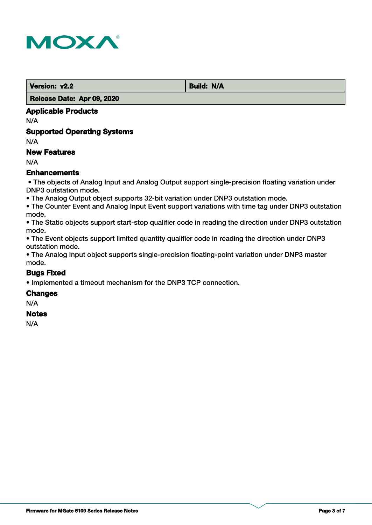

**Version: v2.2 Build: N/A** 

 **Release Date: Apr 09, 2020**

### **Applicable Products**

N/A

### **Supported Operating Systems**

N/A

### **New Features**

N/A

### **Enhancements**

 • The objects of Analog Input and Analog Output support single-precision floating variation under DNP3 outstation mode.

• The Analog Output object supports 32-bit variation under DNP3 outstation mode.

• The Counter Event and Analog Input Event support variations with time tag under DNP3 outstation mode.

• The Static objects support start-stop qualifier code in reading the direction under DNP3 outstation mode.

• The Event objects support limited quantity qualifier code in reading the direction under DNP3 outstation mode.

• The Analog Input object supports single-precision floating-point variation under DNP3 master mode.

#### **Bugs Fixed**

• Implemented a timeout mechanism for the DNP3 TCP connection.

#### **Changes**

N/A

#### **Notes**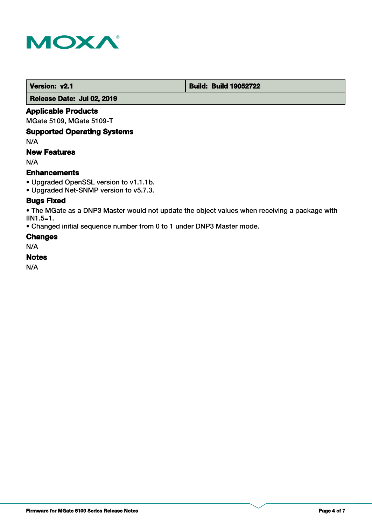

 **Version: v2.1 Build: Build: Build 19052722** 

 **Release Date: Jul 02, 2019**

### **Applicable Products**

MGate 5109, MGate 5109-T

### **Supported Operating Systems**

N/A

### **New Features**

N/A

### **Enhancements**

• Upgraded OpenSSL version to v1.1.1b.

• Upgraded Net-SNMP version to v5.7.3.

### **Bugs Fixed**

• The MGate as a DNP3 Master would not update the object values when receiving a package with IIN1.5=1.

• Changed initial sequence number from 0 to 1 under DNP3 Master mode.

### **Changes**

N/A

### **Notes**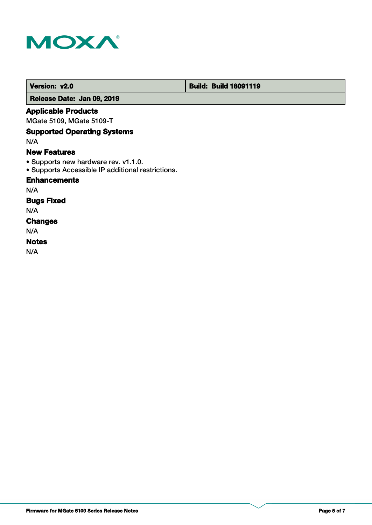

### **Version: v2.0 Build: Build: Build 18091119**

 **Release Date: Jan 09, 2019**

### **Applicable Products**

MGate 5109, MGate 5109-T

## **Supported Operating Systems**

N/A

### **New Features**

- Supports new hardware rev. v1.1.0.
- Supports Accessible IP additional restrictions.

### **Enhancements**

N/A

# **Bugs Fixed**

N/A

### **Changes**

N/A

### **Notes**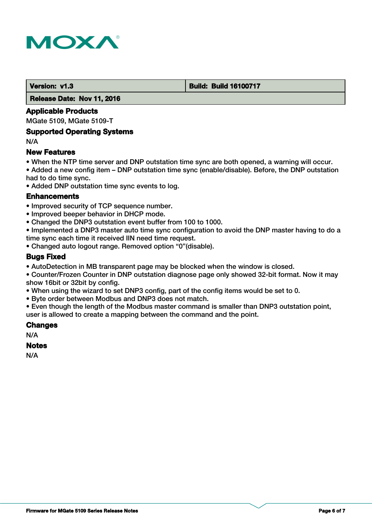

#### **Version: v1.3 Build: Build 16100717**

 **Release Date: Nov 11, 2016**

### **Applicable Products**

MGate 5109, MGate 5109-T

### **Supported Operating Systems**

N/A

### **New Features**

- When the NTP time server and DNP outstation time sync are both opened, a warning will occur.
- Added a new config item DNP outstation time sync (enable/disable). Before, the DNP outstation had to do time sync.
- Added DNP outstation time sync events to log.

#### **Enhancements**

- Improved security of TCP sequence number.
- Improved beeper behavior in DHCP mode.
- Changed the DNP3 outstation event buffer from 100 to 1000.
- Implemented a DNP3 master auto time sync configuration to avoid the DNP master having to do a time sync each time it received IIN need time request.

• Changed auto logout range. Removed option "0"(disable).

### **Bugs Fixed**

• AutoDetection in MB transparent page may be blocked when the window is closed.

• Counter/Frozen Counter in DNP outstation diagnose page only showed 32-bit format. Now it may show 16bit or 32bit by config.

- When using the wizard to set DNP3 config, part of the config items would be set to 0.
- Byte order between Modbus and DNP3 does not match.
- Even though the length of the Modbus master command is smaller than DNP3 outstation point, user is allowed to create a mapping between the command and the point.

#### **Changes**

N/A

#### **Notes**